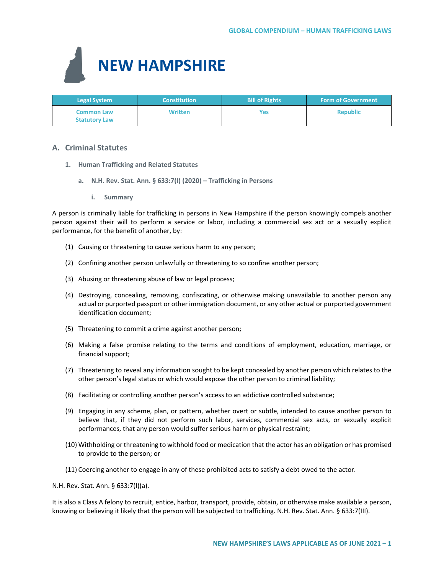

| <b>Legal System</b>                       | <b>Constitution</b> | <b>Bill of Rights</b> | <b>Form of Government</b> |
|-------------------------------------------|---------------------|-----------------------|---------------------------|
| <b>Common Law</b><br><b>Statutory Law</b> | <b>Written</b>      | Yes                   | <b>Republic</b>           |

# **A. Criminal Statutes**

- **1. Human Trafficking and Related Statutes** 
	- **a. N.H. Rev. Stat. Ann. § 633:7(I) (2020) – Trafficking in Persons**
		- **i. Summary**

A person is criminally liable for trafficking in persons in New Hampshire if the person knowingly compels another person against their will to perform a service or labor, including a commercial sex act or a sexually explicit performance, for the benefit of another, by:

- (1) Causing or threatening to cause serious harm to any person;
- (2) Confining another person unlawfully or threatening to so confine another person;
- (3) Abusing or threatening abuse of law or legal process;
- (4) Destroying, concealing, removing, confiscating, or otherwise making unavailable to another person any actual or purported passport or other immigration document, or any other actual or purported government identification document;
- (5) Threatening to commit a crime against another person;
- (6) Making a false promise relating to the terms and conditions of employment, education, marriage, or financial support;
- (7) Threatening to reveal any information sought to be kept concealed by another person which relates to the other person's legal status or which would expose the other person to criminal liability;
- (8) Facilitating or controlling another person's access to an addictive controlled substance;
- (9) Engaging in any scheme, plan, or pattern, whether overt or subtle, intended to cause another person to believe that, if they did not perform such labor, services, commercial sex acts, or sexually explicit performances, that any person would suffer serious harm or physical restraint;
- (10) Withholding or threatening to withhold food or medication that the actor has an obligation or has promised to provide to the person; or
- (11) Coercing another to engage in any of these prohibited acts to satisfy a debt owed to the actor.

N.H. Rev. Stat. Ann. § 633:7(I)(a).

It is also a Class A felony to recruit, entice, harbor, transport, provide, obtain, or otherwise make available a person, knowing or believing it likely that the person will be subjected to trafficking. N.H. Rev. Stat. Ann. § 633:7(III).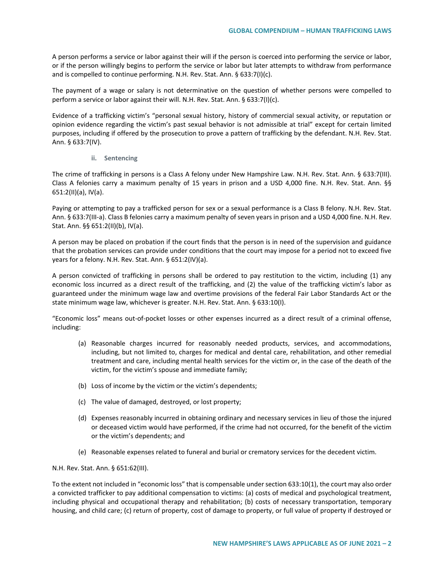A person performs a service or labor against their will if the person is coerced into performing the service or labor, or if the person willingly begins to perform the service or labor but later attempts to withdraw from performance and is compelled to continue performing. N.H. Rev. Stat. Ann. § 633:7(I)(c).

The payment of a wage or salary is not determinative on the question of whether persons were compelled to perform a service or labor against their will. N.H. Rev. Stat. Ann. § 633:7(I)(c).

Evidence of a trafficking victim's "personal sexual history, history of commercial sexual activity, or reputation or opinion evidence regarding the victim's past sexual behavior is not admissible at trial" except for certain limited purposes, including if offered by the prosecution to prove a pattern of trafficking by the defendant. N.H. Rev. Stat. Ann. § 633:7(IV).

**ii. Sentencing**

The crime of trafficking in persons is a Class A felony under New Hampshire Law. N.H. Rev. Stat. Ann. § 633:7(III). Class A felonies carry a maximum penalty of 15 years in prison and a USD 4,000 fine. N.H. Rev. Stat. Ann. §§ 651:2(II)(a), IV(a).

Paying or attempting to pay a trafficked person for sex or a sexual performance is a Class B felony. N.H. Rev. Stat. Ann. § 633:7(III-a). Class B felonies carry a maximum penalty of seven years in prison and a USD 4,000 fine. N.H. Rev. Stat. Ann. §§ 651:2(II)(b), IV(a).

A person may be placed on probation if the court finds that the person is in need of the supervision and guidance that the probation services can provide under conditions that the court may impose for a period not to exceed five years for a felony. N.H. Rev. Stat. Ann. § 651:2(IV)(a).

A person convicted of trafficking in persons shall be ordered to pay restitution to the victim, including (1) any economic loss incurred as a direct result of the trafficking, and (2) the value of the trafficking victim's labor as guaranteed under the minimum wage law and overtime provisions of the federal Fair Labor Standards Act or the state minimum wage law, whichever is greater. N.H. Rev. Stat. Ann. § 633:10(I).

"Economic loss" means out-of-pocket losses or other expenses incurred as a direct result of a criminal offense, including:

- (a) Reasonable charges incurred for reasonably needed products, services, and accommodations, including, but not limited to, charges for medical and dental care, rehabilitation, and other remedial treatment and care, including mental health services for the victim or, in the case of the death of the victim, for the victim's spouse and immediate family;
- (b) Loss of income by the victim or the victim's dependents;
- (c) The value of damaged, destroyed, or lost property;
- (d) Expenses reasonably incurred in obtaining ordinary and necessary services in lieu of those the injured or deceased victim would have performed, if the crime had not occurred, for the benefit of the victim or the victim's dependents; and
- (e) Reasonable expenses related to funeral and burial or crematory services for the decedent victim.

N.H. Rev. Stat. Ann. § 651:62(III).

To the extent not included in "economic loss" that is compensable under section 633:10(1), the court may also order a convicted trafficker to pay additional compensation to victims: (a) costs of medical and psychological treatment, including physical and occupational therapy and rehabilitation; (b) costs of necessary transportation, temporary housing, and child care; (c) return of property, cost of damage to property, or full value of property if destroyed or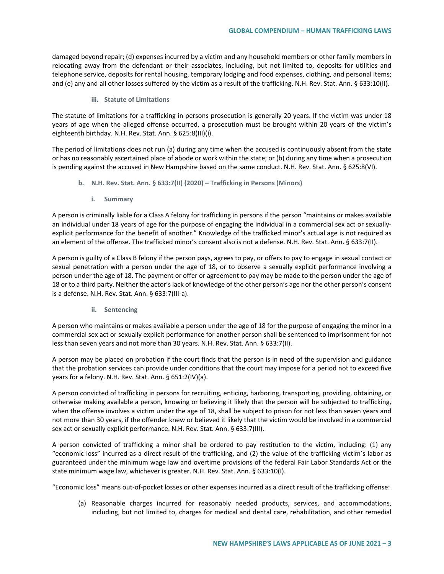damaged beyond repair; (d) expenses incurred by a victim and any household members or other family members in relocating away from the defendant or their associates, including, but not limited to, deposits for utilities and telephone service, deposits for rental housing, temporary lodging and food expenses, clothing, and personal items; and (e) any and all other losses suffered by the victim as a result of the trafficking. N.H. Rev. Stat. Ann. § 633:10(II).

#### **iii. Statute of Limitations**

The statute of limitations for a trafficking in persons prosecution is generally 20 years. If the victim was under 18 years of age when the alleged offense occurred, a prosecution must be brought within 20 years of the victim's eighteenth birthday. N.H. Rev. Stat. Ann. § 625:8(III)(i).

The period of limitations does not run (a) during any time when the accused is continuously absent from the state or has no reasonably ascertained place of abode or work within the state; or (b) during any time when a prosecution is pending against the accused in New Hampshire based on the same conduct. N.H. Rev. Stat. Ann. § 625:8(VI).

- **b. N.H. Rev. Stat. Ann. § 633:7(II) (2020) – Trafficking in Persons (Minors)**
	- **i. Summary**

A person is criminally liable for a Class A felony for trafficking in persons if the person "maintains or makes available an individual under 18 years of age for the purpose of engaging the individual in a commercial sex act or sexuallyexplicit performance for the benefit of another." Knowledge of the trafficked minor's actual age is not required as an element of the offense. The trafficked minor's consent also is not a defense. N.H. Rev. Stat. Ann. § 633:7(II).

A person is guilty of a Class B felony if the person pays, agrees to pay, or offers to pay to engage in sexual contact or sexual penetration with a person under the age of 18, or to observe a sexually explicit performance involving a person under the age of 18. The payment or offer or agreement to pay may be made to the person under the age of 18 or to a third party. Neither the actor's lack of knowledge of the other person's age nor the other person's consent is a defense. N.H. Rev. Stat. Ann. § 633:7(III-a).

**ii. Sentencing**

A person who maintains or makes available a person under the age of 18 for the purpose of engaging the minor in a commercial sex act or sexually explicit performance for another person shall be sentenced to imprisonment for not less than seven years and not more than 30 years. N.H. Rev. Stat. Ann. § 633:7(II).

A person may be placed on probation if the court finds that the person is in need of the supervision and guidance that the probation services can provide under conditions that the court may impose for a period not to exceed five years for a felony. N.H. Rev. Stat. Ann. § 651:2(IV)(a).

A person convicted of trafficking in persons for recruiting, enticing, harboring, transporting, providing, obtaining, or otherwise making available a person, knowing or believing it likely that the person will be subjected to trafficking, when the offense involves a victim under the age of 18, shall be subject to prison for not less than seven years and not more than 30 years, if the offender knew or believed it likely that the victim would be involved in a commercial sex act or sexually explicit performance. N.H. Rev. Stat. Ann. § 633:7(III).

A person convicted of trafficking a minor shall be ordered to pay restitution to the victim, including: (1) any "economic loss" incurred as a direct result of the trafficking, and (2) the value of the trafficking victim's labor as guaranteed under the minimum wage law and overtime provisions of the federal Fair Labor Standards Act or the state minimum wage law, whichever is greater. N.H. Rev. Stat. Ann. § 633:10(I).

"Economic loss" means out-of-pocket losses or other expenses incurred as a direct result of the trafficking offense:

(a) Reasonable charges incurred for reasonably needed products, services, and accommodations, including, but not limited to, charges for medical and dental care, rehabilitation, and other remedial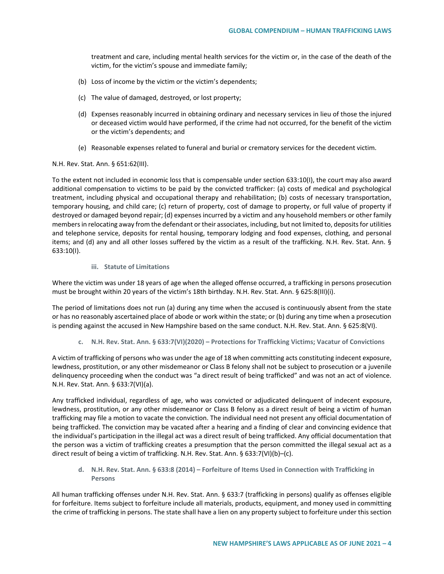treatment and care, including mental health services for the victim or, in the case of the death of the victim, for the victim's spouse and immediate family;

- (b) Loss of income by the victim or the victim's dependents;
- (c) The value of damaged, destroyed, or lost property;
- (d) Expenses reasonably incurred in obtaining ordinary and necessary services in lieu of those the injured or deceased victim would have performed, if the crime had not occurred, for the benefit of the victim or the victim's dependents; and
- (e) Reasonable expenses related to funeral and burial or crematory services for the decedent victim.

#### N.H. Rev. Stat. Ann. § 651:62(III).

To the extent not included in economic loss that is compensable under section 633:10(I), the court may also award additional compensation to victims to be paid by the convicted trafficker: (a) costs of medical and psychological treatment, including physical and occupational therapy and rehabilitation; (b) costs of necessary transportation, temporary housing, and child care; (c) return of property, cost of damage to property, or full value of property if destroyed or damaged beyond repair; (d) expenses incurred by a victim and any household members or other family members in relocating away from the defendant or their associates, including, but not limited to, deposits for utilities and telephone service, deposits for rental housing, temporary lodging and food expenses, clothing, and personal items; and (d) any and all other losses suffered by the victim as a result of the trafficking. N.H. Rev. Stat. Ann. § 633:10(I).

# **iii. Statute of Limitations**

Where the victim was under 18 years of age when the alleged offense occurred, a trafficking in persons prosecution must be brought within 20 years of the victim's 18th birthday. N.H. Rev. Stat. Ann. § 625:8(III)(i).

The period of limitations does not run (a) during any time when the accused is continuously absent from the state or has no reasonably ascertained place of abode or work within the state; or (b) during any time when a prosecution is pending against the accused in New Hampshire based on the same conduct. N.H. Rev. Stat. Ann. § 625:8(VI).

#### **c. N.H. Rev. Stat. Ann. § 633:7(VI)(2020) – Protections for Trafficking Victims; Vacatur of Convictions**

A victim of trafficking of persons who was under the age of 18 when committing acts constituting indecent exposure, lewdness, prostitution, or any other misdemeanor or Class B felony shall not be subject to prosecution or a juvenile delinquency proceeding when the conduct was "a direct result of being trafficked" and was not an act of violence. N.H. Rev. Stat. Ann. § 633:7(VI)(a).

Any trafficked individual, regardless of age, who was convicted or adjudicated delinquent of indecent exposure, lewdness, prostitution, or any other misdemeanor or Class B felony as a direct result of being a victim of human trafficking may file a motion to vacate the conviction. The individual need not present any official documentation of being trafficked. The conviction may be vacated after a hearing and a finding of clear and convincing evidence that the individual's participation in the illegal act was a direct result of being trafficked. Any official documentation that the person was a victim of trafficking creates a presumption that the person committed the illegal sexual act as a direct result of being a victim of trafficking. N.H. Rev. Stat. Ann. § 633:7(VI)(b)–(c).

**d. N.H. Rev. Stat. Ann. § 633:8 (2014) – Forfeiture of Items Used in Connection with Trafficking in Persons** 

All human trafficking offenses under N.H. Rev. Stat. Ann. § 633:7 (trafficking in persons) qualify as offenses eligible for forfeiture. Items subject to forfeiture include all materials, products, equipment, and money used in committing the crime of trafficking in persons. The state shall have a lien on any property subject to forfeiture under this section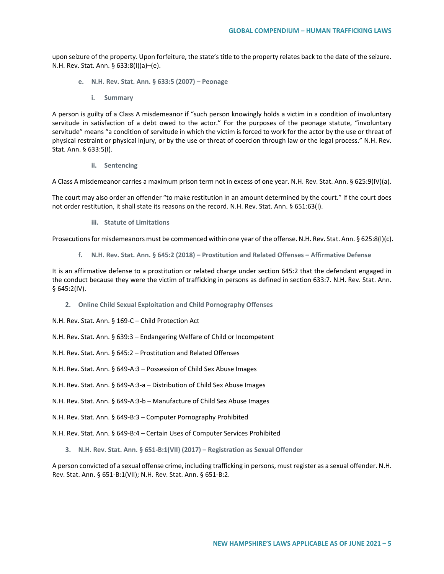upon seizure of the property. Upon forfeiture, the state's title to the property relates back to the date of the seizure. N.H. Rev. Stat. Ann. § 633:8(I)(a)–(e).

- **e. N.H. Rev. Stat. Ann. § 633:5 (2007) – Peonage**
	- **i. Summary**

A person is guilty of a Class A misdemeanor if "such person knowingly holds a victim in a condition of involuntary servitude in satisfaction of a debt owed to the actor." For the purposes of the peonage statute, "involuntary servitude" means "a condition of servitude in which the victim is forced to work for the actor by the use or threat of physical restraint or physical injury, or by the use or threat of coercion through law or the legal process." N.H. Rev. Stat. Ann. § 633:5(I).

**ii. Sentencing**

A Class A misdemeanor carries a maximum prison term not in excess of one year. N.H. Rev. Stat. Ann. § 625:9(IV)(a).

The court may also order an offender "to make restitution in an amount determined by the court." If the court does not order restitution, it shall state its reasons on the record. N.H. Rev. Stat. Ann. § 651:63(I).

**iii. Statute of Limitations**

Prosecutions for misdemeanors must be commenced within one year of the offense. N.H. Rev. Stat. Ann. § 625:8(I)(c).

**f. N.H. Rev. Stat. Ann. § 645:2 (2018) – Prostitution and Related Offenses – Affirmative Defense**

It is an affirmative defense to a prostitution or related charge under section 645:2 that the defendant engaged in the conduct because they were the victim of trafficking in persons as defined in section 633:7. N.H. Rev. Stat. Ann. § 645:2(IV).

**2. Online Child Sexual Exploitation and Child Pornography Offenses**

N.H. Rev. Stat. Ann. § 169-C – Child Protection Act

N.H. Rev. Stat. Ann. § 639:3 – Endangering Welfare of Child or Incompetent

N.H. Rev. Stat. Ann. § 645:2 – Prostitution and Related Offenses

N.H. Rev. Stat. Ann. § 649-A:3 – Possession of Child Sex Abuse Images

N.H. Rev. Stat. Ann. § 649-A:3-a – Distribution of Child Sex Abuse Images

N.H. Rev. Stat. Ann. § 649-A:3-b – Manufacture of Child Sex Abuse Images

N.H. Rev. Stat. Ann. § 649-B:3 – Computer Pornography Prohibited

N.H. Rev. Stat. Ann. § 649-B:4 – Certain Uses of Computer Services Prohibited

**3. N.H. Rev. Stat. Ann. § 651-B:1(VII) (2017) – Registration as Sexual Offender**

A person convicted of a sexual offense crime, including trafficking in persons, must register as a sexual offender. N.H. Rev. Stat. Ann. § 651-B:1(VII); N.H. Rev. Stat. Ann. § 651-B:2.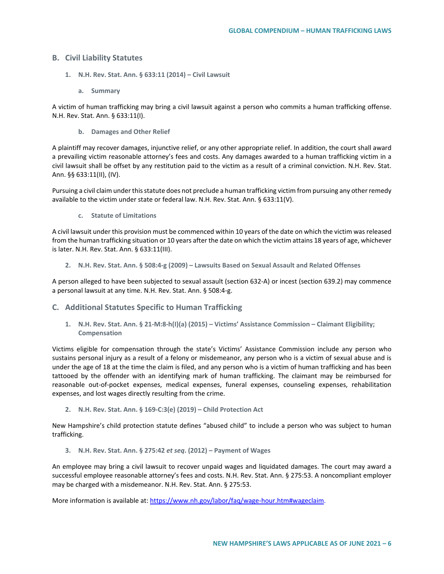# **B. Civil Liability Statutes**

- **1. N.H. Rev. Stat. Ann. § 633:11 (2014) – Civil Lawsuit**
	- **a. Summary**

A victim of human trafficking may bring a civil lawsuit against a person who commits a human trafficking offense. N.H. Rev. Stat. Ann. § 633:11(I).

**b. Damages and Other Relief**

A plaintiff may recover damages, injunctive relief, or any other appropriate relief. In addition, the court shall award a prevailing victim reasonable attorney's fees and costs. Any damages awarded to a human trafficking victim in a civil lawsuit shall be offset by any restitution paid to the victim as a result of a criminal conviction. N.H. Rev. Stat. Ann. §§ 633:11(II), (IV).

Pursuing a civil claim under this statute does not preclude a human trafficking victim from pursuing any other remedy available to the victim under state or federal law. N.H. Rev. Stat. Ann. § 633:11(V).

**c. Statute of Limitations**

A civil lawsuit under this provision must be commenced within 10 years of the date on which the victim was released from the human trafficking situation or 10 years after the date on which the victim attains 18 years of age, whichever is later. N.H. Rev. Stat. Ann. § 633:11(III).

**2. N.H. Rev. Stat. Ann. § 508:4-g (2009) – Lawsuits Based on Sexual Assault and Related Offenses**

A person alleged to have been subjected to sexual assault (section 632-A) or incest (section 639.2) may commence a personal lawsuit at any time. N.H. Rev. Stat. Ann. § 508:4-g.

### **C. Additional Statutes Specific to Human Trafficking**

**1. N.H. Rev. Stat. Ann. § 21-M:8-h(I)(a) (2015) – Victims' Assistance Commission – Claimant Eligibility; Compensation**

Victims eligible for compensation through the state's Victims' Assistance Commission include any person who sustains personal injury as a result of a felony or misdemeanor, any person who is a victim of sexual abuse and is under the age of 18 at the time the claim is filed, and any person who is a victim of human trafficking and has been tattooed by the offender with an identifying mark of human trafficking. The claimant may be reimbursed for reasonable out-of-pocket expenses, medical expenses, funeral expenses, counseling expenses, rehabilitation expenses, and lost wages directly resulting from the crime.

**2. N.H. Rev. Stat. Ann. § 169-C:3(e) (2019) – Child Protection Act**

New Hampshire's child protection statute defines "abused child" to include a person who was subject to human trafficking.

**3. N.H. Rev. Stat. Ann. § 275:42** *et seq***. (2012) – Payment of Wages**

An employee may bring a civil lawsuit to recover unpaid wages and liquidated damages. The court may award a successful employee reasonable attorney's fees and costs. N.H. Rev. Stat. Ann. § 275:53. A noncompliant employer may be charged with a misdemeanor. N.H. Rev. Stat. Ann. § 275:53.

More information is available at: [https://www.nh.gov/labor/faq/wage-hour.htm#wageclaim.](https://www.nh.gov/labor/faq/wage-hour.htm)